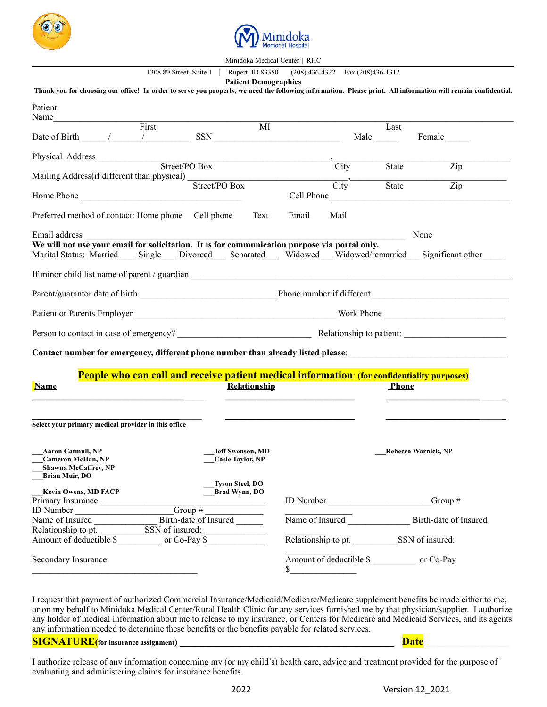



Minidoka Medical Center │ RHC

1308 8th Street, Suite 1 │ Rupert, ID 83350 (208) 436-4322 Fax (208)436-1312

|                                                                                               |                                                                                             |                        | <b>Patient Demographics</b>                        |            |                                       |       | Thank you for choosing our office! In order to serve you properly, we need the following information. Please print. All information will remain confidential. |
|-----------------------------------------------------------------------------------------------|---------------------------------------------------------------------------------------------|------------------------|----------------------------------------------------|------------|---------------------------------------|-------|---------------------------------------------------------------------------------------------------------------------------------------------------------------|
| Patient<br>Name                                                                               |                                                                                             |                        |                                                    |            |                                       |       |                                                                                                                                                               |
|                                                                                               | First                                                                                       |                        | MI                                                 |            |                                       | Last  |                                                                                                                                                               |
| Date of Birth $\frac{1}{\sqrt{2}}$ $\frac{1}{\sqrt{2}}$ SSN                                   |                                                                                             |                        |                                                    |            |                                       | Male  | Female                                                                                                                                                        |
|                                                                                               |                                                                                             |                        |                                                    |            |                                       |       |                                                                                                                                                               |
| Mailing Address(if different than physical) Street/PO Box                                     |                                                                                             | Street/PO Box          |                                                    |            | City                                  | State | Zip                                                                                                                                                           |
|                                                                                               |                                                                                             |                        |                                                    |            | $\overline{\text{City}}$ <sup>-</sup> | State | $\overline{Z}$ ip                                                                                                                                             |
|                                                                                               |                                                                                             |                        |                                                    | Cell Phone |                                       |       | <u> 1980 - Jan Stein Stein Stein Stein Stein Stein Stein Stein Stein Stein Stein Stein Stein Stein Stein Stein S</u>                                          |
| Preferred method of contact: Home phone Cell phone                                            |                                                                                             |                        | Text                                               | Email      | Mail                                  |       |                                                                                                                                                               |
| Email address                                                                                 |                                                                                             |                        |                                                    |            |                                       |       | None                                                                                                                                                          |
| We will not use your email for solicitation. It is for communication purpose via portal only. |                                                                                             |                        |                                                    |            |                                       |       |                                                                                                                                                               |
|                                                                                               |                                                                                             |                        |                                                    |            |                                       |       | Marital Status: Married __ Single __ Divorced __ Separated __ Widowed __ Widowed/remarried __ Significant other                                               |
|                                                                                               |                                                                                             |                        |                                                    |            |                                       |       |                                                                                                                                                               |
|                                                                                               |                                                                                             |                        |                                                    |            |                                       |       |                                                                                                                                                               |
|                                                                                               |                                                                                             |                        |                                                    |            |                                       |       |                                                                                                                                                               |
|                                                                                               |                                                                                             |                        |                                                    |            |                                       |       |                                                                                                                                                               |
|                                                                                               |                                                                                             |                        |                                                    |            |                                       |       | Contact number for emergency, different phone number than already listed please: _____________________________                                                |
|                                                                                               | People who can call and receive patient medical information: (for confidentiality purposes) |                        |                                                    |            |                                       |       |                                                                                                                                                               |
| <b>Name</b>                                                                                   |                                                                                             |                        | Relationship                                       |            |                                       | Phone |                                                                                                                                                               |
| Select your primary medical provider in this office                                           |                                                                                             |                        |                                                    |            |                                       |       |                                                                                                                                                               |
|                                                                                               |                                                                                             |                        |                                                    |            |                                       |       |                                                                                                                                                               |
| <b>Aaron Catmull, NP</b><br><b>Cameron McHan, NP</b>                                          |                                                                                             |                        | <b>Jeff Swenson, MD</b><br><b>Casie Taylor, NP</b> |            |                                       |       | Rebecca Warnick, NP                                                                                                                                           |
| <b>Shawna McCaffrey, NP</b><br><b>Brian Muir, DO</b>                                          |                                                                                             |                        |                                                    |            |                                       |       |                                                                                                                                                               |
|                                                                                               |                                                                                             | <b>Tyson Steel, DO</b> |                                                    |            |                                       |       |                                                                                                                                                               |
| Kevin Owens, MD FACP<br>Primary Insurance                                                     |                                                                                             | Brad Wynn, DO          |                                                    |            |                                       |       | ID Number ______________________Group #                                                                                                                       |
|                                                                                               |                                                                                             |                        |                                                    |            |                                       |       |                                                                                                                                                               |
| ID Number<br>Name of Insured<br>Name of Insured<br>The Birth-date of Insured                  |                                                                                             |                        |                                                    |            |                                       |       | Name of Insured Birth-date of Insured                                                                                                                         |
|                                                                                               |                                                                                             |                        |                                                    |            |                                       |       |                                                                                                                                                               |
|                                                                                               |                                                                                             |                        |                                                    |            |                                       |       |                                                                                                                                                               |
| Secondary Insurance                                                                           |                                                                                             |                        |                                                    |            |                                       |       |                                                                                                                                                               |

I request that payment of authorized Commercial Insurance/Medicaid/Medicare/Medicare supplement benefits be made either to me, or on my behalf to Minidoka Medical Center/Rural Health Clinic for any services furnished me by that physician/supplier. I authorize any holder of medical information about me to release to my insurance, or Centers for Medicare and Medicaid Services, and its agents any information needed to determine these benefits or the benefits payable for related services.

**SIGNATURE(for insurance assignment) \_\_\_\_\_\_\_\_\_\_\_\_\_\_\_\_\_\_\_\_\_\_\_\_\_\_\_\_\_\_\_\_\_\_\_\_\_\_\_\_\_\_\_\_\_\_\_\_ Date**\_\_\_\_\_\_\_\_\_\_\_\_\_\_\_\_

I authorize release of any information concerning my (or my child's) health care, advice and treatment provided for the purpose of evaluating and administering claims for insurance benefits.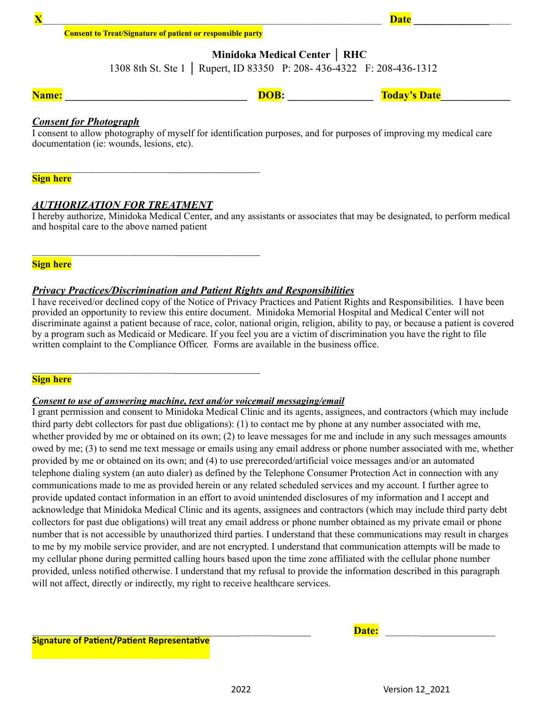### **Consent to Treat/Signature of patient or responsible party**

**Minidoka Medical Center │ RHC**

1308 8th St. Ste 1 │ Rupert, ID 83350 P: 208- 436-4322 F: 208-436-1312

**Name: \_\_\_\_\_\_\_\_\_\_\_\_\_\_\_\_\_\_\_\_\_\_\_\_\_\_\_\_\_\_\_\_\_\_ DOB: \_\_\_\_\_\_\_\_\_\_\_\_\_\_\_\_ Today's Date\_\_\_\_\_\_\_\_\_\_\_\_\_**

### *Consent for Photograph*

I consent to allow photography of myself for identification purposes, and for purposes of improving my medical care documentation (ie: wounds, lesions, etc).

**Sign here**

### *AUTHORIZATION FOR TREATMENT*

 $\mathcal{L}_\text{max}$  and  $\mathcal{L}_\text{max}$  and  $\mathcal{L}_\text{max}$  and  $\mathcal{L}_\text{max}$ 

 $\mathcal{L}_\text{max}$  , where  $\mathcal{L}_\text{max}$  is the set of the set of the set of the set of the set of the set of the set of the set of the set of the set of the set of the set of the set of the set of the set of the set of the se

 $\mathcal{L}_\text{max}$  , where  $\mathcal{L}_\text{max}$  is the set of the set of the set of the set of the set of the set of the set of the set of the set of the set of the set of the set of the set of the set of the set of the set of the se

I hereby authorize, Minidoka Medical Center, and any assistants or associates that may be designated, to perform medical and hospital care to the above named patient

**Sign here**

### *Privacy Practices/Discrimination and Patient Rights and Responsibilities*

I have received/or declined copy of the Notice of Privacy Practices and Patient Rights and Responsibilities. I have been provided an opportunity to review this entire document. Minidoka Memorial Hospital and Medical Center will not discriminate against a patient because of race, color, national origin, religion, ability to pay, or because a patient is covered by a program such as Medicaid or Medicare. If you feel you are a victim of discrimination you have the right to file written complaint to the Compliance Officer. Forms are available in the business office.

### **Sign here**

### *Consent to use of answering machine, text and/or voicemail messaging/email*

I grant permission and consent to Minidoka Medical Clinic and its agents, assignees, and contractors (which may include third party debt collectors for past due obligations): (1) to contact me by phone at any number associated with me, whether provided by me or obtained on its own; (2) to leave messages for me and include in any such messages amounts owed by me; (3) to send me text message or emails using any email address or phone number associated with me, whether provided by me or obtained on its own; and (4) to use prerecorded/artificial voice messages and/or an automated telephone dialing system (an auto dialer) as defined by the Telephone Consumer Protection Act in connection with any communications made to me as provided herein or any related scheduled services and my account. I further agree to provide updated contact information in an effort to avoid unintended disclosures of my information and I accept and acknowledge that Minidoka Medical Clinic and its agents, assignees and contractors (which may include third party debt collectors for past due obligations) will treat any email address or phone number obtained as my private email or phone number that is not accessible by unauthorized third parties. I understand that these communications may result in charges to me by my mobile service provider, and are not encrypted. I understand that communication attempts will be made to my cellular phone during permitted calling hours based upon the time zone affiliated with the cellular phone number provided, unless notified otherwise. I understand that my refusal to provide the information described in this paragraph will not affect, directly or indirectly, my right to receive healthcare services.

**Signature of Patient/Patient Representative**

 $\bf{Date:}$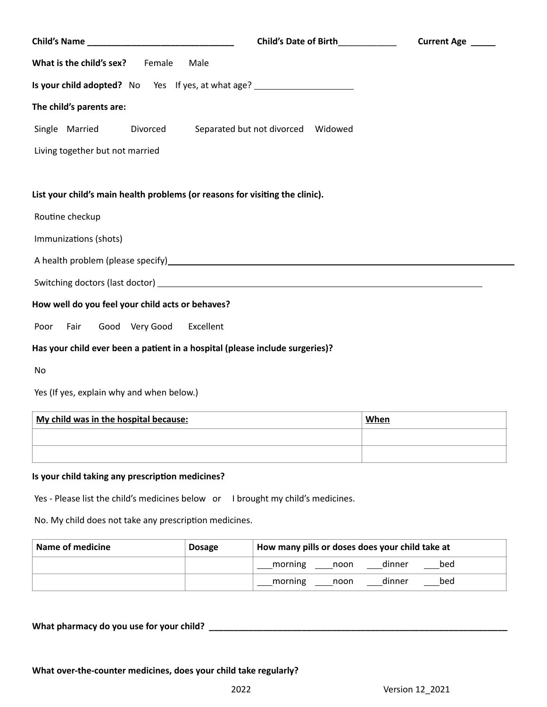|                                                                                  | Child's Date of Birth____________     | Current Age _____ |
|----------------------------------------------------------------------------------|---------------------------------------|-------------------|
| What is the child's sex? Female<br>Male                                          |                                       |                   |
| Is your child adopted? No Yes If yes, at what age? _____________________________ |                                       |                   |
| The child's parents are:                                                         |                                       |                   |
| Single Married<br>Divorced                                                       | Separated but not divorced    Widowed |                   |
| Living together but not married                                                  |                                       |                   |
|                                                                                  |                                       |                   |
| List your child's main health problems (or reasons for visiting the clinic).     |                                       |                   |
| Routine checkup                                                                  |                                       |                   |
| Immunizations (shots)                                                            |                                       |                   |
|                                                                                  |                                       |                   |
|                                                                                  |                                       |                   |
| How well do you feel your child acts or behaves?                                 |                                       |                   |
| Good Very Good<br>Poor<br>Fair                                                   | Excellent                             |                   |
| Has your child ever been a patient in a hospital (please include surgeries)?     |                                       |                   |
| No                                                                               |                                       |                   |
| Yes (If yes, explain why and when below.)                                        |                                       |                   |

| My child was in the hospital because: | When |
|---------------------------------------|------|
|                                       |      |
|                                       |      |

# **Is your child taking any prescription medicines?**

Yes - Please list the child's medicines below or I brought my child's medicines.

No. My child does not take any prescription medicines.

| Name of medicine | <b>Dosage</b> | How many pills or doses does your child take at |  |  |
|------------------|---------------|-------------------------------------------------|--|--|
|                  |               | dinner<br>bed<br>___morning ____noon            |  |  |
|                  |               | _morning ____noon<br>dinner<br>bed              |  |  |

**What pharmacy do you use for your child? \_\_\_\_\_\_\_\_\_\_\_\_\_\_\_\_\_\_\_\_\_\_\_\_\_\_\_\_\_\_\_\_\_\_\_\_\_\_\_\_\_\_\_\_\_\_\_\_\_\_\_\_\_\_\_\_\_\_\_\_\_**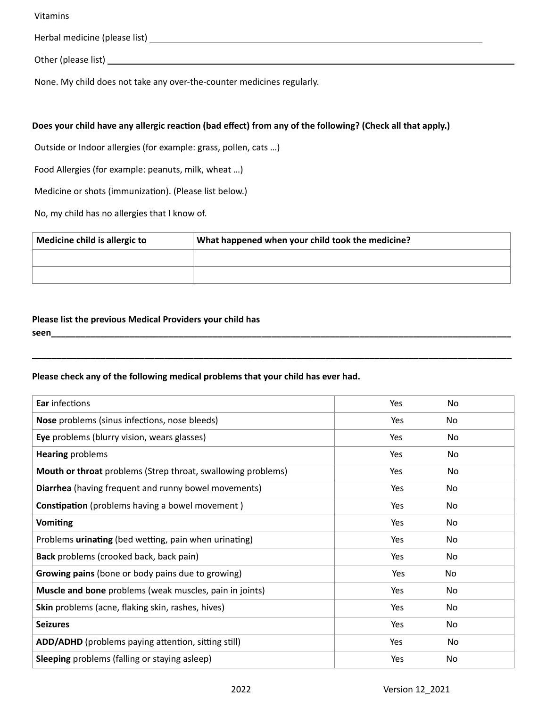Vitamins

Herbal medicine (please list)

Other (please list) <u>example and the contract of the contract of the contract of the contract of the contract of the contract of the contract of the contract of the contract of the contract of the contract of the contract </u>

None. My child does not take any over-the-counter medicines regularly.

## **Does your child have any allergic reaction (bad effect) from any of the following? (Check all that apply.)**

Outside or Indoor allergies (for example: grass, pollen, cats …)

Food Allergies (for example: peanuts, milk, wheat …)

Medicine or shots (immunization). (Please list below.)

No, my child has no allergies that I know of.

| Medicine child is allergic to | What happened when your child took the medicine? |
|-------------------------------|--------------------------------------------------|
|                               |                                                  |
|                               |                                                  |

**\_\_\_\_\_\_\_\_\_\_\_\_\_\_\_\_\_\_\_\_\_\_\_\_\_\_\_\_\_\_\_\_\_\_\_\_\_\_\_\_\_\_\_\_\_\_\_\_\_\_\_\_\_\_\_\_\_\_\_\_\_\_\_\_\_\_\_\_\_\_\_\_\_\_\_\_\_\_\_\_\_\_\_\_\_\_\_\_\_\_\_\_\_\_\_\_\_\_**

## **Please list the previous Medical Providers your child has seen\_\_\_\_\_\_\_\_\_\_\_\_\_\_\_\_\_\_\_\_\_\_\_\_\_\_\_\_\_\_\_\_\_\_\_\_\_\_\_\_\_\_\_\_\_\_\_\_\_\_\_\_\_\_\_\_\_\_\_\_\_\_\_\_\_\_\_\_\_\_\_\_\_\_\_\_\_\_\_\_\_\_\_\_\_\_\_\_\_\_\_\_\_\_**

### **Please check any of the following medical problems that your child has ever had.**

| Ear infections                                                 | Yes | No  |  |
|----------------------------------------------------------------|-----|-----|--|
| <b>Nose</b> problems (sinus infections, nose bleeds)           | Yes | No  |  |
| Eye problems (blurry vision, wears glasses)                    | Yes | No  |  |
| <b>Hearing problems</b>                                        | Yes | No  |  |
| Mouth or throat problems (Strep throat, swallowing problems)   | Yes | No  |  |
| Diarrhea (having frequent and runny bowel movements)           | Yes | No  |  |
| <b>Constipation</b> (problems having a bowel movement)         | Yes | No  |  |
| <b>Vomiting</b>                                                | Yes | No  |  |
| Problems urinating (bed wetting, pain when urinating)          | Yes | No. |  |
| Back problems (crooked back, back pain)                        | Yes | No  |  |
| <b>Growing pains</b> (bone or body pains due to growing)       | Yes | No  |  |
| <b>Muscle and bone</b> problems (weak muscles, pain in joints) | Yes | No  |  |
| Skin problems (acne, flaking skin, rashes, hives)              | Yes | No  |  |
| <b>Seizures</b>                                                | Yes | No  |  |
| ADD/ADHD (problems paying attention, sitting still)            | Yes | No  |  |
| <b>Sleeping</b> problems (falling or staying asleep)           | Yes | No  |  |
|                                                                |     |     |  |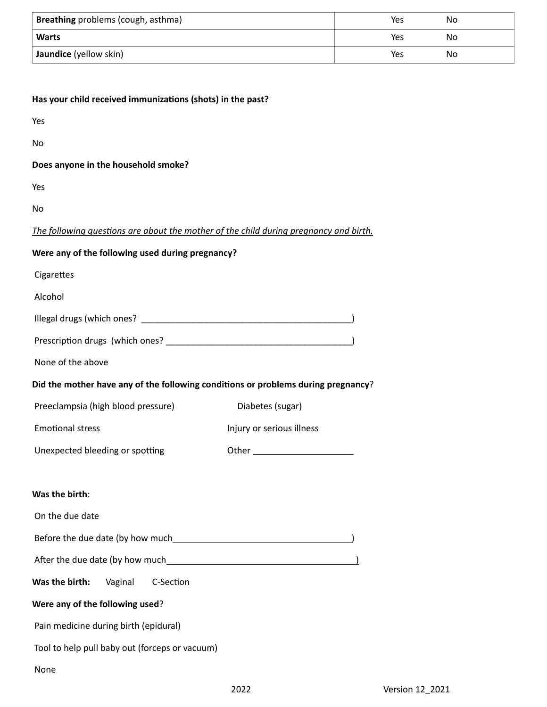| Breathing problems (cough, asthma) | Yes | Nο |  |
|------------------------------------|-----|----|--|
| <b>Warts</b>                       | Yes | Nο |  |
| Jaundice (yellow skin)             | Yes | Nο |  |

| Has your child received immunizations (shots) in the past?                            |                           |  |
|---------------------------------------------------------------------------------------|---------------------------|--|
| Yes                                                                                   |                           |  |
| No                                                                                    |                           |  |
| Does anyone in the household smoke?                                                   |                           |  |
| Yes                                                                                   |                           |  |
| No                                                                                    |                           |  |
| The following questions are about the mother of the child during pregnancy and birth. |                           |  |
| Were any of the following used during pregnancy?                                      |                           |  |
| Cigarettes                                                                            |                           |  |
| Alcohol                                                                               |                           |  |
|                                                                                       |                           |  |
|                                                                                       |                           |  |
| None of the above                                                                     |                           |  |
| Did the mother have any of the following conditions or problems during pregnancy?     |                           |  |
| Preeclampsia (high blood pressure)                                                    | Diabetes (sugar)          |  |
| <b>Emotional stress</b>                                                               | Injury or serious illness |  |
| Unexpected bleeding or spotting                                                       |                           |  |
|                                                                                       |                           |  |
| Was the birth:                                                                        |                           |  |
| On the due date                                                                       |                           |  |
|                                                                                       |                           |  |
|                                                                                       |                           |  |
| Was the birth:<br>Vaginal<br>C-Section                                                |                           |  |
| Were any of the following used?                                                       |                           |  |
| Pain medicine during birth (epidural)                                                 |                           |  |
| Tool to help pull baby out (forceps or vacuum)                                        |                           |  |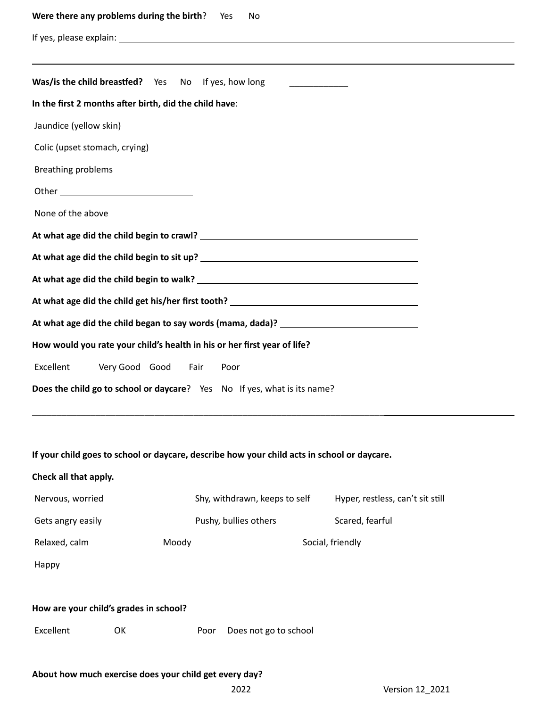| Were there any problems during the birth?<br>Yes<br>No                                                         |
|----------------------------------------------------------------------------------------------------------------|
|                                                                                                                |
|                                                                                                                |
|                                                                                                                |
| In the first 2 months after birth, did the child have:                                                         |
| Jaundice (yellow skin)                                                                                         |
| Colic (upset stomach, crying)                                                                                  |
| <b>Breathing problems</b>                                                                                      |
|                                                                                                                |
| None of the above                                                                                              |
| At what age did the child begin to crawl? Letter and the control of the child of the child of the child of the |
|                                                                                                                |
|                                                                                                                |
|                                                                                                                |
| At what age did the child began to say words (mama, dada)? ______________________                              |
| How would you rate your child's health in his or her first year of life?                                       |
| Excellent<br>Very Good Good Fair<br>Poor                                                                       |
| Does the child go to school or daycare? Yes No If yes, what is its name?                                       |

# **If your child goes to school or daycare, describe how your child acts in school or daycare.**

\_\_\_\_\_\_\_\_\_\_\_\_\_\_\_\_\_\_\_\_\_\_\_\_\_\_\_\_\_\_\_\_\_\_\_\_\_\_\_\_\_\_\_\_\_\_\_\_\_\_\_\_\_\_\_\_\_\_\_\_\_\_\_\_\_\_\_\_\_\_\_\_

# **Check all that apply.**

| Nervous, worried                       |       |      | Shy, withdrawn, keeps to self | Hyper, restless, can't sit still |  |  |
|----------------------------------------|-------|------|-------------------------------|----------------------------------|--|--|
| Gets angry easily                      |       |      | Pushy, bullies others         | Scared, fearful                  |  |  |
| Relaxed, calm                          | Moody |      |                               | Social, friendly                 |  |  |
| Happy                                  |       |      |                               |                                  |  |  |
|                                        |       |      |                               |                                  |  |  |
| How are your child's grades in school? |       |      |                               |                                  |  |  |
| Excellent                              | 0K    | Poor | Does not go to school         |                                  |  |  |
|                                        |       |      |                               |                                  |  |  |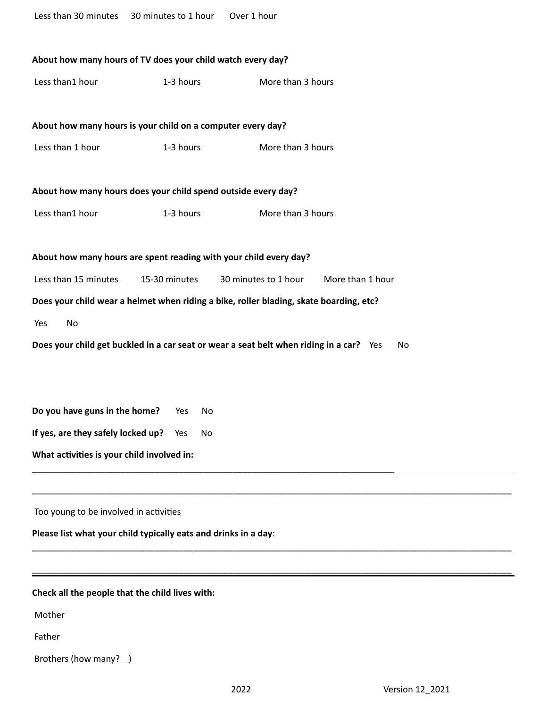| Less than 30 minutes 30 minutes to 1 hour       |                                                                                                | Over 1 hour                                                                            |  |  |  |  |  |
|-------------------------------------------------|------------------------------------------------------------------------------------------------|----------------------------------------------------------------------------------------|--|--|--|--|--|
|                                                 |                                                                                                |                                                                                        |  |  |  |  |  |
|                                                 | About how many hours of TV does your child watch every day?                                    |                                                                                        |  |  |  |  |  |
| Less than1 hour                                 | 1-3 hours                                                                                      | More than 3 hours                                                                      |  |  |  |  |  |
|                                                 |                                                                                                |                                                                                        |  |  |  |  |  |
|                                                 | About how many hours is your child on a computer every day?                                    |                                                                                        |  |  |  |  |  |
| Less than 1 hour                                | 1-3 hours                                                                                      | More than 3 hours                                                                      |  |  |  |  |  |
|                                                 |                                                                                                |                                                                                        |  |  |  |  |  |
|                                                 | About how many hours does your child spend outside every day?                                  |                                                                                        |  |  |  |  |  |
| Less than1 hour                                 | 1-3 hours                                                                                      | More than 3 hours                                                                      |  |  |  |  |  |
|                                                 |                                                                                                |                                                                                        |  |  |  |  |  |
|                                                 | About how many hours are spent reading with your child every day?                              |                                                                                        |  |  |  |  |  |
| Less than 15 minutes                            | 15-30 minutes                                                                                  | 30 minutes to 1 hour<br>More than 1 hour                                               |  |  |  |  |  |
|                                                 |                                                                                                | Does your child wear a helmet when riding a bike, roller blading, skate boarding, etc? |  |  |  |  |  |
| No<br>Yes                                       |                                                                                                |                                                                                        |  |  |  |  |  |
|                                                 | Does your child get buckled in a car seat or wear a seat belt when riding in a car? Yes<br>No. |                                                                                        |  |  |  |  |  |
|                                                 |                                                                                                |                                                                                        |  |  |  |  |  |
|                                                 |                                                                                                |                                                                                        |  |  |  |  |  |
| Do you have guns in the home?                   | No<br>Yes                                                                                      |                                                                                        |  |  |  |  |  |
| If yes, are they safely locked up?              | Yes<br>No                                                                                      |                                                                                        |  |  |  |  |  |
| What activities is your child involved in:      |                                                                                                |                                                                                        |  |  |  |  |  |
|                                                 |                                                                                                |                                                                                        |  |  |  |  |  |
| Too young to be involved in activities          |                                                                                                |                                                                                        |  |  |  |  |  |
|                                                 | Please list what your child typically eats and drinks in a day:                                |                                                                                        |  |  |  |  |  |
|                                                 |                                                                                                |                                                                                        |  |  |  |  |  |
|                                                 |                                                                                                |                                                                                        |  |  |  |  |  |
| Check all the people that the child lives with: |                                                                                                |                                                                                        |  |  |  |  |  |
| Mother                                          |                                                                                                |                                                                                        |  |  |  |  |  |
| Father                                          |                                                                                                |                                                                                        |  |  |  |  |  |
| Brothers (how many?_)                           |                                                                                                |                                                                                        |  |  |  |  |  |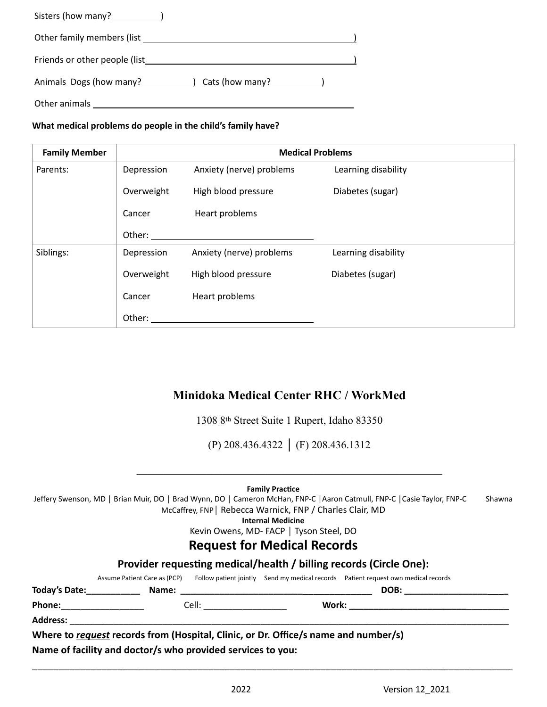| Other family members (list example and the state of the state of the state of the state of the state of the state of the state of the state of the state of the state of the state of the state of the state of the state of t |  |
|--------------------------------------------------------------------------------------------------------------------------------------------------------------------------------------------------------------------------------|--|
|                                                                                                                                                                                                                                |  |
|                                                                                                                                                                                                                                |  |
| Other animals                                                                                                                                                                                                                  |  |

**What medical problems do people in the child's family have?**

| <b>Family Member</b> | <b>Medical Problems</b> |                          |                     |  |
|----------------------|-------------------------|--------------------------|---------------------|--|
| Parents:             | Depression              | Anxiety (nerve) problems | Learning disability |  |
|                      | Overweight              | High blood pressure      | Diabetes (sugar)    |  |
|                      | Cancer                  | Heart problems           |                     |  |
|                      | Other:                  |                          |                     |  |
| Siblings:            | Depression              | Anxiety (nerve) problems | Learning disability |  |
|                      | Overweight              | High blood pressure      | Diabetes (sugar)    |  |
|                      | Cancer                  | Heart problems           |                     |  |
|                      | Other:                  |                          |                     |  |

# **Minidoka Medical Center RHC / WorkMed**

1308 8th Street Suite 1 Rupert, Idaho 83350

(P) 208.436.4322 │ (F) 208.436.1312

 $\mathcal{L}_\text{max}$  , and the contribution of the contribution of the contribution of the contribution of the contribution of the contribution of the contribution of the contribution of the contribution of the contribution of t

**Family Practice**

Jeffery Swenson, MD | Brian Muir, DO | Brad Wynn, DO | Cameron McHan, FNP-C | Aaron Catmull, FNP-C | Casie Taylor, FNP-C Shawna McCaffrey, FNP│ Rebecca Warnick, FNP / Charles Clair, MD

**Internal Medicine**

Kevin Owens, MD- FACP │ Tyson Steel, DO

# **Request for Medical Records**

|                    | Provider requesting medical/health / billing records (Circle One):                  |                                                                                                                                                                                                                                                                                                                                                                                               |  |                                                                                                                                                                                                                                |  |  |  |
|--------------------|-------------------------------------------------------------------------------------|-----------------------------------------------------------------------------------------------------------------------------------------------------------------------------------------------------------------------------------------------------------------------------------------------------------------------------------------------------------------------------------------------|--|--------------------------------------------------------------------------------------------------------------------------------------------------------------------------------------------------------------------------------|--|--|--|
|                    | Assume Patient Care as (PCP)                                                        |                                                                                                                                                                                                                                                                                                                                                                                               |  | Follow patient jointly Send my medical records Patient request own medical records                                                                                                                                             |  |  |  |
| Today's Date: 1988 | Name:                                                                               |                                                                                                                                                                                                                                                                                                                                                                                               |  | DOB: the contract of the contract of the contract of the contract of the contract of the contract of the contract of the contract of the contract of the contract of the contract of the contract of the contract of the contr |  |  |  |
| <b>Phone:</b>      |                                                                                     | <b>Cell: Cell</b> : <b>Cell</b> : <b>Cell</b> : <b>Cell</b> : <b>Cell</b> : <b>Cell</b> : <b>Cell</b> : <b>Cell</b> : <b>Cell</b> : <b>Cell</b> : <b>Cell</b> : <b>Cell</b> : <b>Cell</b> : <b>Cell</b> : <b>Cell</b> : <b>Cell</b> : <b>Cell</b> : <b>Cell</b> : <b>Cell</b> : <b>Cell</b> : <b>Cell</b> : <b>Cell</b> : <b>Cell</b> : <b>Cell</b> : <b>Cell</b> : <b>Cell</b> : <b>Cell</b> |  | Work: New York: New York: New York: New York: New York: New York: New York: New York: New York: New York: New York: New York: New York: New York: New York: New York: New York: New York: New York: New York: New York: New Yo |  |  |  |
| <b>Address:</b>    |                                                                                     |                                                                                                                                                                                                                                                                                                                                                                                               |  |                                                                                                                                                                                                                                |  |  |  |
|                    | Where to request records from (Hospital, Clinic, or Dr. Office/s name and number/s) |                                                                                                                                                                                                                                                                                                                                                                                               |  |                                                                                                                                                                                                                                |  |  |  |

\_\_\_\_\_\_\_\_\_\_\_\_\_\_\_\_\_\_\_\_\_\_\_\_\_\_\_\_\_\_\_\_\_\_\_\_\_\_\_\_\_\_\_\_\_\_\_\_\_\_\_\_\_\_\_\_\_\_\_\_\_\_\_\_\_\_\_\_\_\_\_\_\_\_\_\_\_\_\_\_\_\_\_\_\_\_\_\_\_\_

**Name of facility and doctor/s who provided services to you:**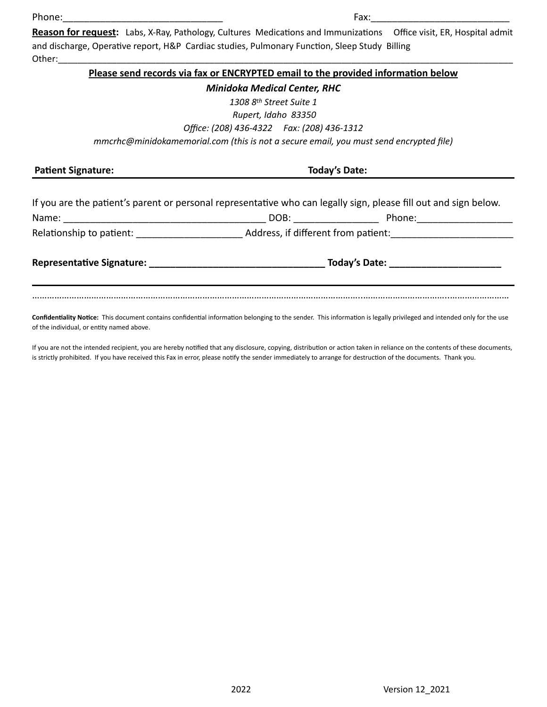# Phone:\_\_\_\_\_\_\_\_\_\_\_\_\_\_\_\_\_\_\_\_\_\_\_\_\_\_\_\_\_\_ Fax:\_\_\_\_\_\_\_\_\_\_\_\_\_\_\_\_\_\_\_\_\_\_\_\_\_\_

**Reason for request:** Labs, X-Ray, Pathology, Cultures Medications and Immunizations Office visit, ER, Hospital admit and discharge, Operative report, H&P Cardiac studies, Pulmonary Function, Sleep Study Billing Other:\_\_\_\_\_\_\_\_\_\_\_\_\_\_\_\_\_\_\_\_\_\_\_\_\_\_\_\_\_\_\_\_\_\_\_\_\_\_\_\_\_\_\_\_\_\_\_\_\_\_\_\_\_\_\_\_\_\_\_\_\_\_\_\_\_\_\_\_\_\_\_\_\_\_\_\_\_\_\_\_\_\_\_\_\_\_\_\_\_\_\_\_\_

## **Please send records via fax or ENCRYPTED email to the provided information below**

## *Minidoka Medical Center, RHC*

*1308 8th Street Suite 1*

 *Rupert, Idaho 83350*

*Office: (208) 436-4322 Fax: (208) 436-1312*

*mmcrhc@minidokamemorial.com (this is not a secure email, you must send encrypted file)*

Patient Signature: Today's Date:

| If you are the patient's parent or personal representative who can legally sign, please fill out and sign below.       |                                                                                                                                                                                                                               |        |  |  |
|------------------------------------------------------------------------------------------------------------------------|-------------------------------------------------------------------------------------------------------------------------------------------------------------------------------------------------------------------------------|--------|--|--|
|                                                                                                                        | DOB: ________                                                                                                                                                                                                                 | Phone: |  |  |
|                                                                                                                        | Address, if different from patient:                                                                                                                                                                                           |        |  |  |
| <b>Representative Signature:</b> Note that the set of the set of the set of the set of the set of the set of the set o | Today's Date: The Contract of the Contract of the Contract of the Contract of the Contract of the Contract of the Contract of the Contract of the Contract of the Contract of the Contract of the Contract of the Contract of |        |  |  |
|                                                                                                                        |                                                                                                                                                                                                                               |        |  |  |

**Confidentiality Notice:** This document contains confidential information belonging to the sender. This information is legally privileged and intended only for the use of the individual, or entity named above.

If you are not the intended recipient, you are hereby notified that any disclosure, copying, distribution or action taken in reliance on the contents of these documents, is strictly prohibited. If you have received this Fax in error, please notify the sender immediately to arrange for destruction of the documents. Thank you.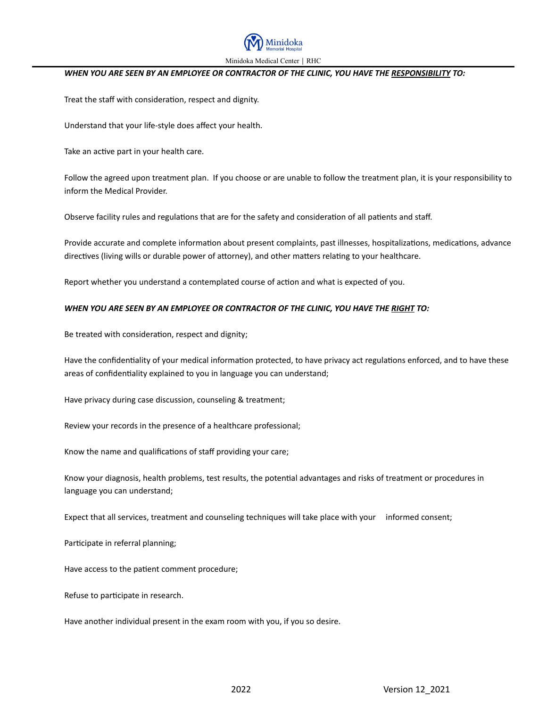

#### *WHEN YOU ARE SEEN BY AN EMPLOYEE OR CONTRACTOR OF THE CLINIC, YOU HAVE THE RESPONSIBILITY TO:*

Treat the staff with consideration, respect and dignity.

Understand that your life-style does affect your health.

Take an active part in your health care.

Follow the agreed upon treatment plan. If you choose or are unable to follow the treatment plan, it is your responsibility to inform the Medical Provider.

Observe facility rules and regulations that are for the safety and consideration of all patients and staff.

Provide accurate and complete information about present complaints, past illnesses, hospitalizations, medications, advance directives (living wills or durable power of attorney), and other matters relating to your healthcare.

Report whether you understand a contemplated course of action and what is expected of you.

#### *WHEN YOU ARE SEEN BY AN EMPLOYEE OR CONTRACTOR OF THE CLINIC, YOU HAVE THE RIGHT TO:*

Be treated with consideration, respect and dignity;

Have the confidentiality of your medical information protected, to have privacy act regulations enforced, and to have these areas of confidentiality explained to you in language you can understand;

Have privacy during case discussion, counseling & treatment;

Review your records in the presence of a healthcare professional;

Know the name and qualifications of staff providing your care;

Know your diagnosis, health problems, test results, the potential advantages and risks of treatment or procedures in language you can understand;

Expect that all services, treatment and counseling techniques will take place with your informed consent;

Participate in referral planning;

Have access to the patient comment procedure;

Refuse to participate in research.

Have another individual present in the exam room with you, if you so desire.